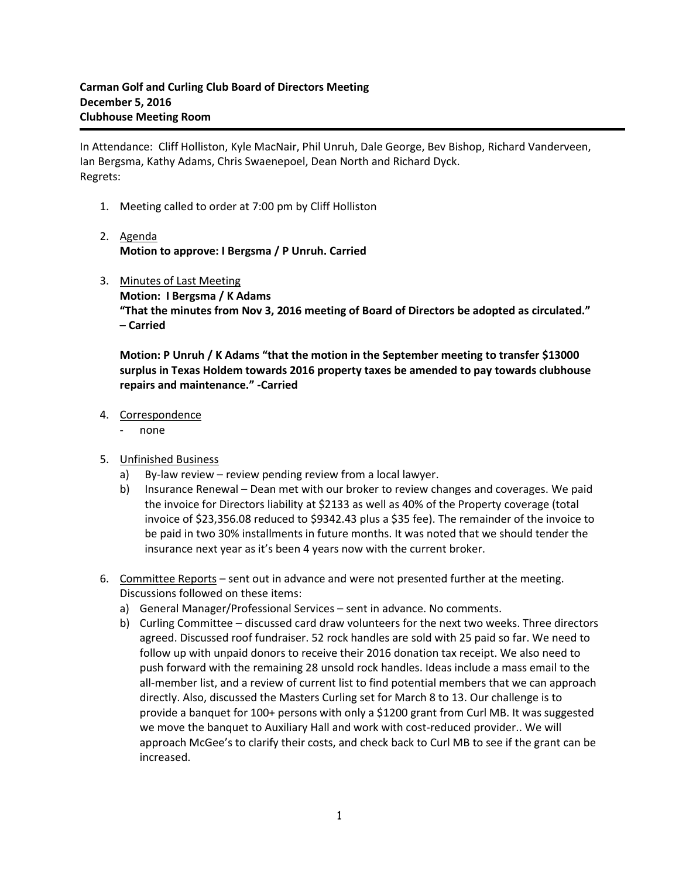In Attendance: Cliff Holliston, Kyle MacNair, Phil Unruh, Dale George, Bev Bishop, Richard Vanderveen, Ian Bergsma, Kathy Adams, Chris Swaenepoel, Dean North and Richard Dyck. Regrets:

- 1. Meeting called to order at 7:00 pm by Cliff Holliston
- 2. Agenda **Motion to approve: I Bergsma / P Unruh. Carried**
- 3. Minutes of Last Meeting **Motion: I Bergsma / K Adams "That the minutes from Nov 3, 2016 meeting of Board of Directors be adopted as circulated." – Carried**

**Motion: P Unruh / K Adams "that the motion in the September meeting to transfer \$13000 surplus in Texas Holdem towards 2016 property taxes be amended to pay towards clubhouse repairs and maintenance." -Carried**

- 4. Correspondence
	- none
- 5. Unfinished Business
	- a) By-law review review pending review from a local lawyer.
	- b) Insurance Renewal Dean met with our broker to review changes and coverages. We paid the invoice for Directors liability at \$2133 as well as 40% of the Property coverage (total invoice of \$23,356.08 reduced to \$9342.43 plus a \$35 fee). The remainder of the invoice to be paid in two 30% installments in future months. It was noted that we should tender the insurance next year as it's been 4 years now with the current broker.
- 6. Committee Reports sent out in advance and were not presented further at the meeting. Discussions followed on these items:
	- a) General Manager/Professional Services sent in advance. No comments.
	- b) Curling Committee discussed card draw volunteers for the next two weeks. Three directors agreed. Discussed roof fundraiser. 52 rock handles are sold with 25 paid so far. We need to follow up with unpaid donors to receive their 2016 donation tax receipt. We also need to push forward with the remaining 28 unsold rock handles. Ideas include a mass email to the all-member list, and a review of current list to find potential members that we can approach directly. Also, discussed the Masters Curling set for March 8 to 13. Our challenge is to provide a banquet for 100+ persons with only a \$1200 grant from Curl MB. It was suggested we move the banquet to Auxiliary Hall and work with cost-reduced provider.. We will approach McGee's to clarify their costs, and check back to Curl MB to see if the grant can be increased.